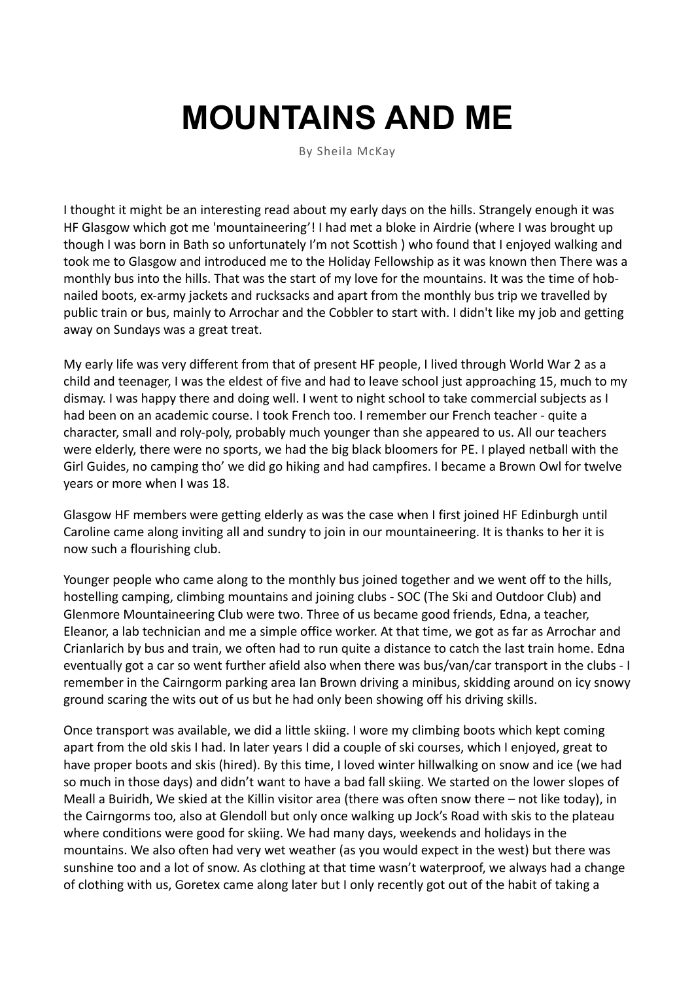## **MOUNTAINS AND ME**

By Sheila McKay

I thought it might be an interesting read about my early days on the hills. Strangely enough it was HF Glasgow which got me 'mountaineering'! I had met a bloke in Airdrie (where I was brought up though I was born in Bath so unfortunately I'm not Scottish ) who found that I enjoyed walking and took me to Glasgow and introduced me to the Holiday Fellowship as it was known then There was a monthly bus into the hills. That was the start of my love for the mountains. It was the time of hobnailed boots, ex-army jackets and rucksacks and apart from the monthly bus trip we travelled by public train or bus, mainly to Arrochar and the Cobbler to start with. I didn't like my job and getting away on Sundays was a great treat.

My early life was very different from that of present HF people, I lived through World War 2 as a child and teenager, I was the eldest of five and had to leave school just approaching 15, much to my dismay. I was happy there and doing well. I went to night school to take commercial subjects as I had been on an academic course. I took French too. I remember our French teacher - quite a character, small and roly-poly, probably much younger than she appeared to us. All our teachers were elderly, there were no sports, we had the big black bloomers for PE. I played netball with the Girl Guides, no camping tho' we did go hiking and had campfires. I became a Brown Owl for twelve years or more when I was 18.

Glasgow HF members were getting elderly as was the case when I first joined HF Edinburgh until Caroline came along inviting all and sundry to join in our mountaineering. It is thanks to her it is now such a flourishing club.

Younger people who came along to the monthly bus joined together and we went off to the hills, hostelling camping, climbing mountains and joining clubs - SOC (The Ski and Outdoor Club) and Glenmore Mountaineering Club were two. Three of us became good friends, Edna, a teacher, Eleanor, a lab technician and me a simple office worker. At that time, we got as far as Arrochar and Crianlarich by bus and train, we often had to run quite a distance to catch the last train home. Edna eventually got a car so went further afield also when there was bus/van/car transport in the clubs - I remember in the Cairngorm parking area Ian Brown driving a minibus, skidding around on icy snowy ground scaring the wits out of us but he had only been showing off his driving skills.

Once transport was available, we did a little skiing. I wore my climbing boots which kept coming apart from the old skis I had. In later years I did a couple of ski courses, which I enjoyed, great to have proper boots and skis (hired). By this time, I loved winter hillwalking on snow and ice (we had so much in those days) and didn't want to have a bad fall skiing. We started on the lower slopes of Meall a Buiridh, We skied at the Killin visitor area (there was often snow there – not like today), in the Cairngorms too, also at Glendoll but only once walking up Jock's Road with skis to the plateau where conditions were good for skiing. We had many days, weekends and holidays in the mountains. We also often had very wet weather (as you would expect in the west) but there was sunshine too and a lot of snow. As clothing at that time wasn't waterproof, we always had a change of clothing with us, Goretex came along later but I only recently got out of the habit of taking a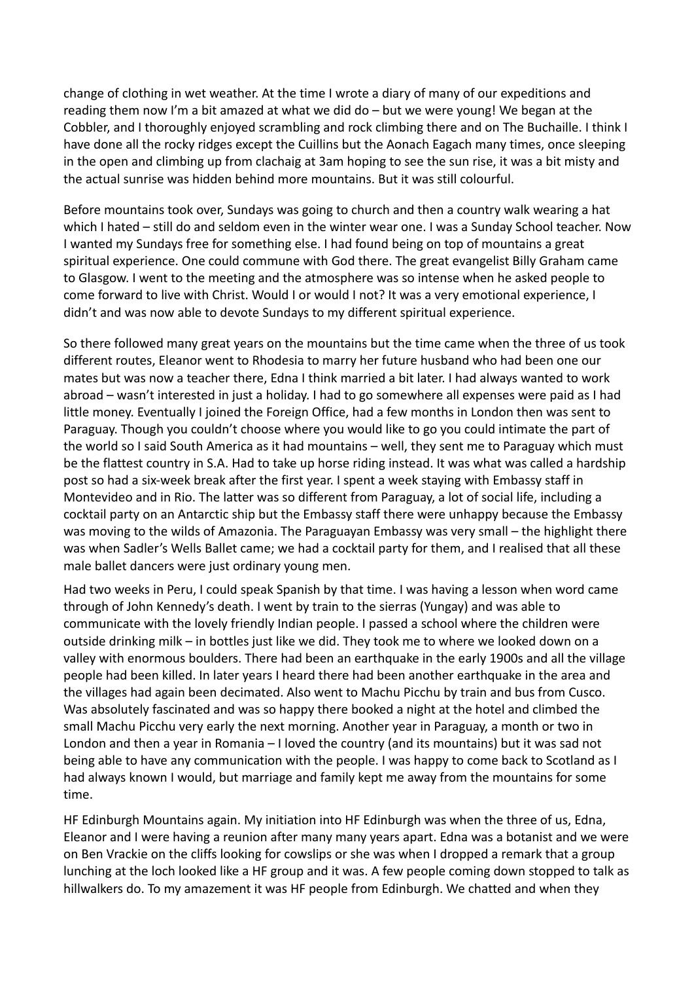change of clothing in wet weather. At the time I wrote a diary of many of our expeditions and reading them now I'm a bit amazed at what we did do – but we were young! We began at the Cobbler, and I thoroughly enjoyed scrambling and rock climbing there and on The Buchaille. I think I have done all the rocky ridges except the Cuillins but the Aonach Eagach many times, once sleeping in the open and climbing up from clachaig at 3am hoping to see the sun rise, it was a bit misty and the actual sunrise was hidden behind more mountains. But it was still colourful.

Before mountains took over, Sundays was going to church and then a country walk wearing a hat which I hated – still do and seldom even in the winter wear one. I was a Sunday School teacher. Now I wanted my Sundays free for something else. I had found being on top of mountains a great spiritual experience. One could commune with God there. The great evangelist Billy Graham came to Glasgow. I went to the meeting and the atmosphere was so intense when he asked people to come forward to live with Christ. Would I or would I not? It was a very emotional experience, I didn't and was now able to devote Sundays to my different spiritual experience.

So there followed many great years on the mountains but the time came when the three of us took different routes, Eleanor went to Rhodesia to marry her future husband who had been one our mates but was now a teacher there, Edna I think married a bit later. I had always wanted to work abroad – wasn't interested in just a holiday. I had to go somewhere all expenses were paid as I had little money. Eventually I joined the Foreign Office, had a few months in London then was sent to Paraguay. Though you couldn't choose where you would like to go you could intimate the part of the world so I said South America as it had mountains – well, they sent me to Paraguay which must be the flattest country in S.A. Had to take up horse riding instead. It was what was called a hardship post so had a six-week break after the first year. I spent a week staying with Embassy staff in Montevideo and in Rio. The latter was so different from Paraguay, a lot of social life, including a cocktail party on an Antarctic ship but the Embassy staff there were unhappy because the Embassy was moving to the wilds of Amazonia. The Paraguayan Embassy was very small – the highlight there was when Sadler's Wells Ballet came; we had a cocktail party for them, and I realised that all these male ballet dancers were just ordinary young men.

Had two weeks in Peru, I could speak Spanish by that time. I was having a lesson when word came through of John Kennedy's death. I went by train to the sierras (Yungay) and was able to communicate with the lovely friendly Indian people. I passed a school where the children were outside drinking milk – in bottles just like we did. They took me to where we looked down on a valley with enormous boulders. There had been an earthquake in the early 1900s and all the village people had been killed. In later years I heard there had been another earthquake in the area and the villages had again been decimated. Also went to Machu Picchu by train and bus from Cusco. Was absolutely fascinated and was so happy there booked a night at the hotel and climbed the small Machu Picchu very early the next morning. Another year in Paraguay, a month or two in London and then a year in Romania – I loved the country (and its mountains) but it was sad not being able to have any communication with the people. I was happy to come back to Scotland as I had always known I would, but marriage and family kept me away from the mountains for some time.

HF Edinburgh Mountains again. My initiation into HF Edinburgh was when the three of us, Edna, Eleanor and I were having a reunion after many many years apart. Edna was a botanist and we were on Ben Vrackie on the cliffs looking for cowslips or she was when I dropped a remark that a group lunching at the loch looked like a HF group and it was. A few people coming down stopped to talk as hillwalkers do. To my amazement it was HF people from Edinburgh. We chatted and when they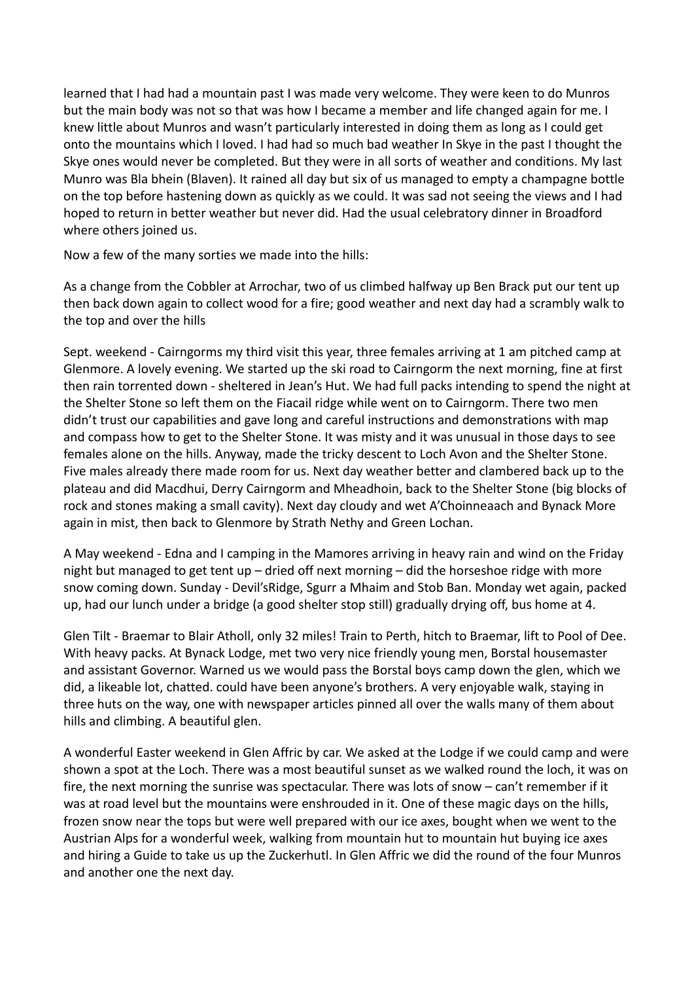learned that I had had a mountain past I was made very welcome. They were keen to do Munros but the main body was not so that was how I became a member and life changed again for me. I knew little about Munros and wasn't particularly interested in doing them as long as I could get onto the mountains which I loved. I had had so much bad weather In Skye in the past I thought the Skye ones would never be completed. But they were in all sorts of weather and conditions. My last Munro was Bla bhein (Blaven). It rained all day but six of us managed to empty a champagne bottle on the top before hastening down as quickly as we could. It was sad not seeing the views and I had hoped to return in better weather but never did. Had the usual celebratory dinner in Broadford where others joined us.

Now a few of the many sorties we made into the hills:

As a change from the Cobbler at Arrochar, two of us climbed halfway up Ben Brack put our tent up then back down again to collect wood for a fire; good weather and next day had a scrambly walk to the top and over the hills

Sept. weekend - Cairngorms my third visit this year, three females arriving at 1 am pitched camp at Glenmore. A lovely evening. We started up the ski road to Cairngorm the next morning, fine at first then rain torrented down - sheltered in Jean's Hut. We had full packs intending to spend the night at the Shelter Stone so left them on the Fiacail ridge while went on to Cairngorm. There two men didn't trust our capabilities and gave long and careful instructions and demonstrations with map and compass how to get to the Shelter Stone. It was misty and it was unusual in those days to see females alone on the hills. Anyway, made the tricky descent to Loch Avon and the Shelter Stone. Five males already there made room for us. Next day weather better and clambered back up to the plateau and did Macdhui, Derry Cairngorm and Mheadhoin, back to the Shelter Stone (big blocks of rock and stones making a small cavity). Next day cloudy and wet A'Choinneaach and Bynack More again in mist, then back to Glenmore by Strath Nethy and Green Lochan.

A May weekend - Edna and I camping in the Mamores arriving in heavy rain and wind on the Friday night but managed to get tent up – dried off next morning – did the horseshoe ridge with more snow coming down. Sunday - Devil'sRidge, Sgurr a Mhaim and Stob Ban. Monday wet again, packed up, had our lunch under a bridge (a good shelter stop still) gradually drying off, bus home at 4.

Glen Tilt - Braemar to Blair Atholl, only 32 miles! Train to Perth, hitch to Braemar, lift to Pool of Dee. With heavy packs. At Bynack Lodge, met two very nice friendly young men, Borstal housemaster and assistant Governor. Warned us we would pass the Borstal boys camp down the glen, which we did, a likeable lot, chatted. could have been anyone's brothers. A very enjoyable walk, staying in three huts on the way, one with newspaper articles pinned all over the walls many of them about hills and climbing. A beautiful glen.

A wonderful Easter weekend in Glen Affric by car. We asked at the Lodge if we could camp and were shown a spot at the Loch. There was a most beautiful sunset as we walked round the loch, it was on fire, the next morning the sunrise was spectacular. There was lots of snow – can't remember if it was at road level but the mountains were enshrouded in it. One of these magic days on the hills, frozen snow near the tops but were well prepared with our ice axes, bought when we went to the Austrian Alps for a wonderful week, walking from mountain hut to mountain hut buying ice axes and hiring a Guide to take us up the Zuckerhutl. In Glen Affric we did the round of the four Munros and another one the next day.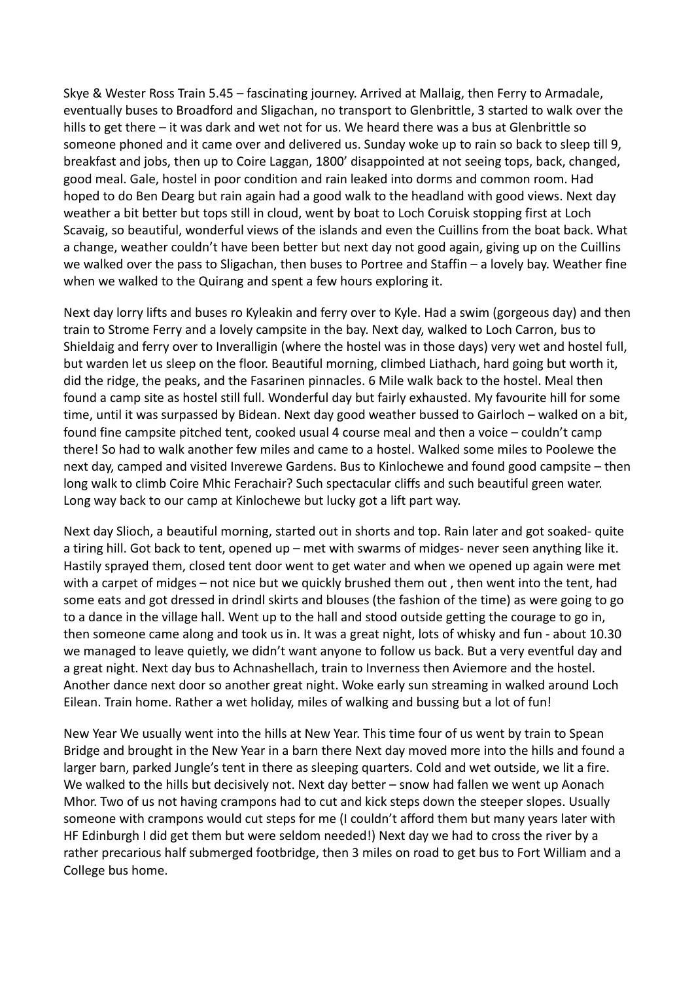Skye & Wester Ross Train 5.45 – fascinating journey. Arrived at Mallaig, then Ferry to Armadale, eventually buses to Broadford and Sligachan, no transport to Glenbrittle, 3 started to walk over the hills to get there – it was dark and wet not for us. We heard there was a bus at Glenbrittle so someone phoned and it came over and delivered us. Sunday woke up to rain so back to sleep till 9, breakfast and jobs, then up to Coire Laggan, 1800' disappointed at not seeing tops, back, changed, good meal. Gale, hostel in poor condition and rain leaked into dorms and common room. Had hoped to do Ben Dearg but rain again had a good walk to the headland with good views. Next day weather a bit better but tops still in cloud, went by boat to Loch Coruisk stopping first at Loch Scavaig, so beautiful, wonderful views of the islands and even the Cuillins from the boat back. What a change, weather couldn't have been better but next day not good again, giving up on the Cuillins we walked over the pass to Sligachan, then buses to Portree and Staffin – a lovely bay. Weather fine when we walked to the Quirang and spent a few hours exploring it.

Next day lorry lifts and buses ro Kyleakin and ferry over to Kyle. Had a swim (gorgeous day) and then train to Strome Ferry and a lovely campsite in the bay. Next day, walked to Loch Carron, bus to Shieldaig and ferry over to Inveralligin (where the hostel was in those days) very wet and hostel full, but warden let us sleep on the floor. Beautiful morning, climbed Liathach, hard going but worth it, did the ridge, the peaks, and the Fasarinen pinnacles. 6 Mile walk back to the hostel. Meal then found a camp site as hostel still full. Wonderful day but fairly exhausted. My favourite hill for some time, until it was surpassed by Bidean. Next day good weather bussed to Gairloch – walked on a bit, found fine campsite pitched tent, cooked usual 4 course meal and then a voice – couldn't camp there! So had to walk another few miles and came to a hostel. Walked some miles to Poolewe the next day, camped and visited Inverewe Gardens. Bus to Kinlochewe and found good campsite – then long walk to climb Coire Mhic Ferachair? Such spectacular cliffs and such beautiful green water. Long way back to our camp at Kinlochewe but lucky got a lift part way.

Next day Slioch, a beautiful morning, started out in shorts and top. Rain later and got soaked- quite a tiring hill. Got back to tent, opened up – met with swarms of midges- never seen anything like it. Hastily sprayed them, closed tent door went to get water and when we opened up again were met with a carpet of midges – not nice but we quickly brushed them out , then went into the tent, had some eats and got dressed in drindl skirts and blouses (the fashion of the time) as were going to go to a dance in the village hall. Went up to the hall and stood outside getting the courage to go in, then someone came along and took us in. It was a great night, lots of whisky and fun - about 10.30 we managed to leave quietly, we didn't want anyone to follow us back. But a very eventful day and a great night. Next day bus to Achnashellach, train to Inverness then Aviemore and the hostel. Another dance next door so another great night. Woke early sun streaming in walked around Loch Eilean. Train home. Rather a wet holiday, miles of walking and bussing but a lot of fun!

New Year We usually went into the hills at New Year. This time four of us went by train to Spean Bridge and brought in the New Year in a barn there Next day moved more into the hills and found a larger barn, parked Jungle's tent in there as sleeping quarters. Cold and wet outside, we lit a fire. We walked to the hills but decisively not. Next day better – snow had fallen we went up Aonach Mhor. Two of us not having crampons had to cut and kick steps down the steeper slopes. Usually someone with crampons would cut steps for me (I couldn't afford them but many years later with HF Edinburgh I did get them but were seldom needed!) Next day we had to cross the river by a rather precarious half submerged footbridge, then 3 miles on road to get bus to Fort William and a College bus home.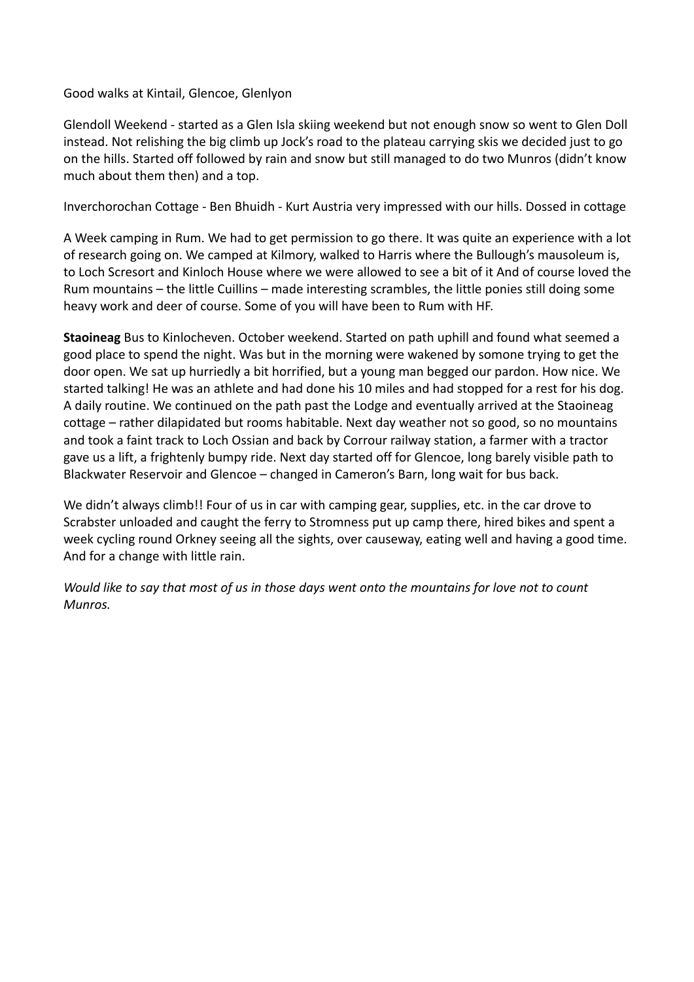Good walks at Kintail, Glencoe, Glenlyon

Glendoll Weekend - started as a Glen Isla skiing weekend but not enough snow so went to Glen Doll instead. Not relishing the big climb up Jock's road to the plateau carrying skis we decided just to go on the hills. Started off followed by rain and snow but still managed to do two Munros (didn't know much about them then) and a top.

Inverchorochan Cottage - Ben Bhuidh - Kurt Austria very impressed with our hills. Dossed in cottage

A Week camping in Rum. We had to get permission to go there. It was quite an experience with a lot of research going on. We camped at Kilmory, walked to Harris where the Bullough's mausoleum is, to Loch Scresort and Kinloch House where we were allowed to see a bit of it And of course loved the Rum mountains – the little Cuillins – made interesting scrambles, the little ponies still doing some heavy work and deer of course. Some of you will have been to Rum with HF.

**Staoineag** Bus to Kinlocheven. October weekend. Started on path uphill and found what seemed a good place to spend the night. Was but in the morning were wakened by somone trying to get the door open. We sat up hurriedly a bit horrified, but a young man begged our pardon. How nice. We started talking! He was an athlete and had done his 10 miles and had stopped for a rest for his dog. A daily routine. We continued on the path past the Lodge and eventually arrived at the Staoineag cottage – rather dilapidated but rooms habitable. Next day weather not so good, so no mountains and took a faint track to Loch Ossian and back by Corrour railway station, a farmer with a tractor gave us a lift, a frightenly bumpy ride. Next day started off for Glencoe, long barely visible path to Blackwater Reservoir and Glencoe – changed in Cameron's Barn, long wait for bus back.

We didn't always climb!! Four of us in car with camping gear, supplies, etc. in the car drove to Scrabster unloaded and caught the ferry to Stromness put up camp there, hired bikes and spent a week cycling round Orkney seeing all the sights, over causeway, eating well and having a good time. And for a change with little rain.

*Would like to say that most of us in those days went onto the mountains for love not to count Munros.*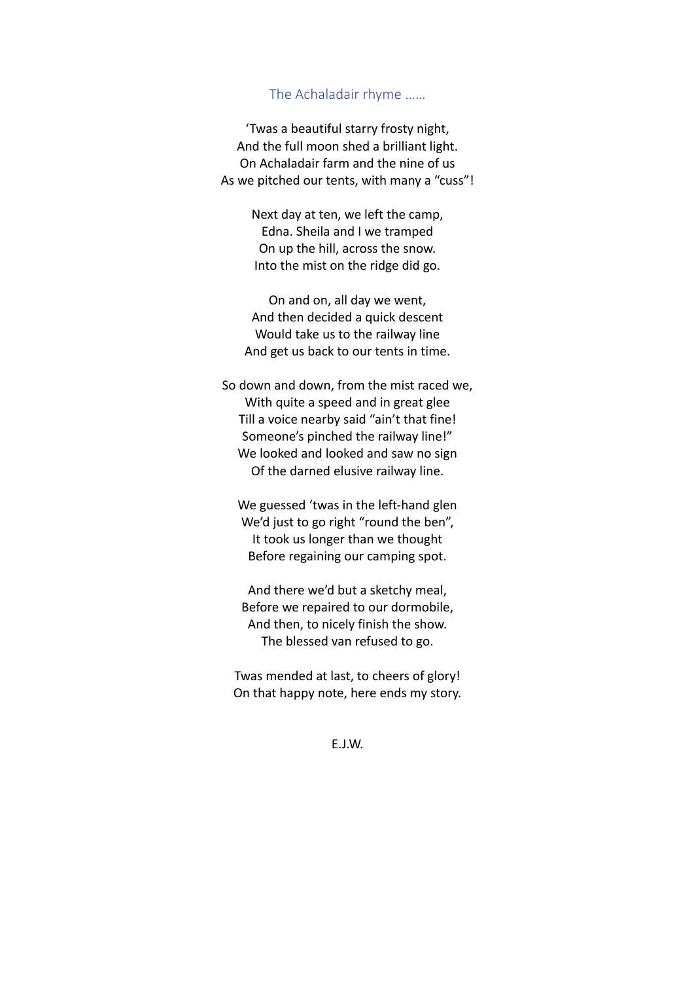## The Achaladair rhyme ……

'Twas a beautiful starry frosty night, And the full moon shed a brilliant light. On Achaladair farm and the nine of us As we pitched our tents, with many a "cuss"!

> Next day at ten, we left the camp, Edna. Sheila and I we tramped On up the hill, across the snow. Into the mist on the ridge did go.

On and on, all day we went, And then decided a quick descent Would take us to the railway line And get us back to our tents in time.

So down and down, from the mist raced we, With quite a speed and in great glee Till a voice nearby said "ain't that fine! Someone's pinched the railway line!" We looked and looked and saw no sign Of the darned elusive railway line.

We guessed 'twas in the left-hand glen We'd just to go right "round the ben", It took us longer than we thought Before regaining our camping spot.

And there we'd but a sketchy meal, Before we repaired to our dormobile, And then, to nicely finish the show. The blessed van refused to go.

Twas mended at last, to cheers of glory! On that happy note, here ends my story.

E.J.W.